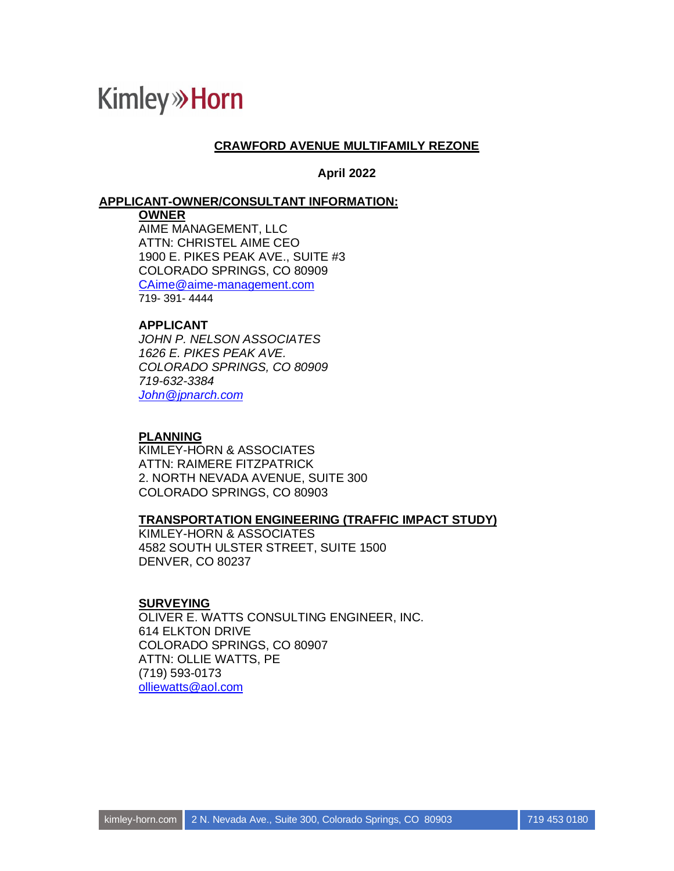#### **CRAWFORD AVENUE MULTIFAMILY REZONE**

**April 2022**

#### **APPLICANT-OWNER/CONSULTANT INFORMATION:**

#### **OWNER**

AIME MANAGEMENT, LLC ATTN: CHRISTEL AIME CEO 1900 E. PIKES PEAK AVE., SUITE #3 COLORADO SPRINGS, CO 80909 CAime@aime-management.com 719- 391- 4444

#### **APPLICANT**

*JOHN P. NELSON ASSOCIATES 1626 E. PIKES PEAK AVE. COLORADO SPRINGS, CO 80909 719-632-3384 John@jpnarch.com*

#### **PLANNING**

KIMLEY-HORN & ASSOCIATES ATTN: RAIMERE FITZPATRICK 2. NORTH NEVADA AVENUE, SUITE 300 COLORADO SPRINGS, CO 80903

#### **TRANSPORTATION ENGINEERING (TRAFFIC IMPACT STUDY)**

KIMLEY-HORN & ASSOCIATES 4582 SOUTH ULSTER STREET, SUITE 1500 DENVER, CO 80237

#### **SURVEYING**

OLIVER E. WATTS CONSULTING ENGINEER, INC. 614 ELKTON DRIVE COLORADO SPRINGS, CO 80907 ATTN: OLLIE WATTS, PE (719) 593-0173 olliewatts@aol.com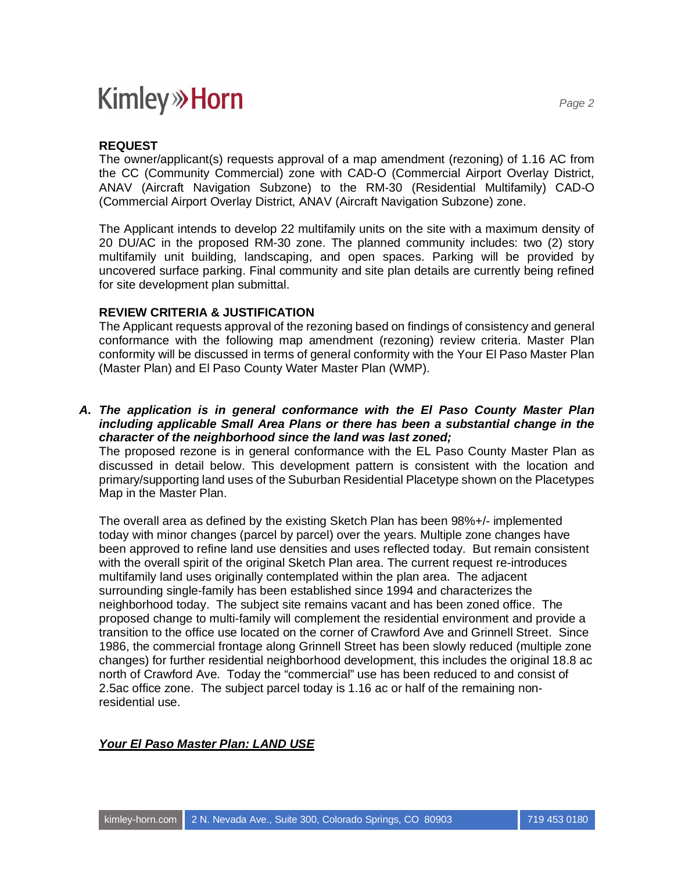#### **REQUEST**

The owner/applicant(s) requests approval of a map amendment (rezoning) of 1.16 AC from the CC (Community Commercial) zone with CAD-O (Commercial Airport Overlay District, ANAV (Aircraft Navigation Subzone) to the RM-30 (Residential Multifamily) CAD-O (Commercial Airport Overlay District, ANAV (Aircraft Navigation Subzone) zone.

The Applicant intends to develop 22 multifamily units on the site with a maximum density of 20 DU/AC in the proposed RM-30 zone. The planned community includes: two (2) story multifamily unit building, landscaping, and open spaces. Parking will be provided by uncovered surface parking. Final community and site plan details are currently being refined for site development plan submittal.

#### **REVIEW CRITERIA & JUSTIFICATION**

The Applicant requests approval of the rezoning based on findings of consistency and general conformance with the following map amendment (rezoning) review criteria. Master Plan conformity will be discussed in terms of general conformity with the Your El Paso Master Plan (Master Plan) and El Paso County Water Master Plan (WMP).

*A. The application is in general conformance with the El Paso County Master Plan including applicable Small Area Plans or there has been a substantial change in the character of the neighborhood since the land was last zoned;*

The proposed rezone is in general conformance with the EL Paso County Master Plan as discussed in detail below. This development pattern is consistent with the location and primary/supporting land uses of the Suburban Residential Placetype shown on the Placetypes Map in the Master Plan.

The overall area as defined by the existing Sketch Plan has been 98%+/- implemented today with minor changes (parcel by parcel) over the years. Multiple zone changes have been approved to refine land use densities and uses reflected today. But remain consistent with the overall spirit of the original Sketch Plan area. The current request re-introduces multifamily land uses originally contemplated within the plan area. The adjacent surrounding single-family has been established since 1994 and characterizes the neighborhood today. The subject site remains vacant and has been zoned office. The proposed change to multi-family will complement the residential environment and provide a transition to the office use located on the corner of Crawford Ave and Grinnell Street. Since 1986, the commercial frontage along Grinnell Street has been slowly reduced (multiple zone changes) for further residential neighborhood development, this includes the original 18.8 ac north of Crawford Ave. Today the "commercial" use has been reduced to and consist of 2.5ac office zone. The subject parcel today is 1.16 ac or half of the remaining nonresidential use.

#### *Your El Paso Master Plan: LAND USE*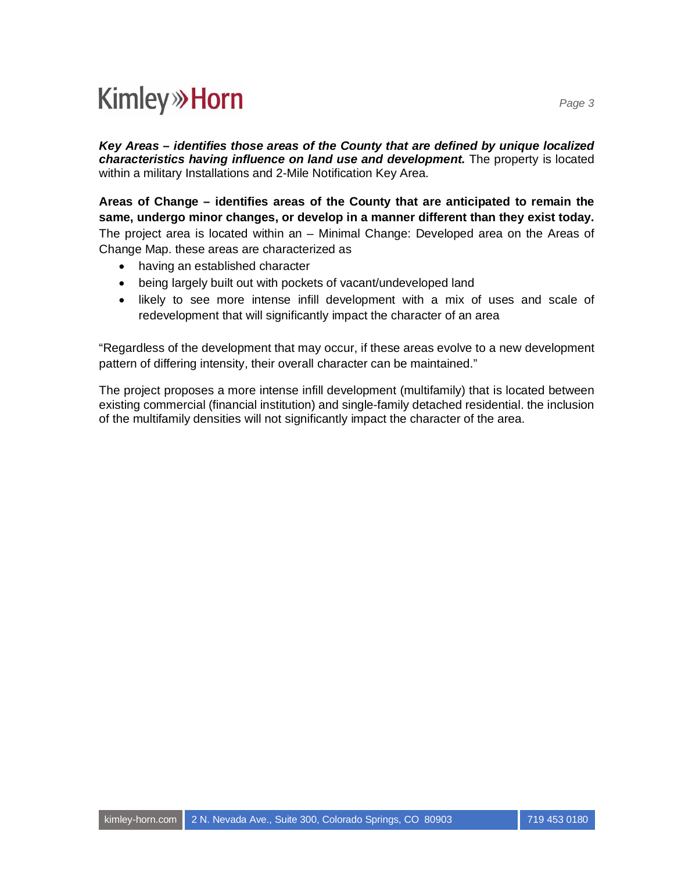*Key Areas – identifies those areas of the County that are defined by unique localized characteristics having influence on land use and development.* The property is located within a military Installations and 2-Mile Notification Key Area.

**Areas of Change – identifies areas of the County that are anticipated to remain the same, undergo minor changes, or develop in a manner different than they exist today.** The project area is located within an – Minimal Change: Developed area on the Areas of Change Map. these areas are characterized as

- having an established character
- · being largely built out with pockets of vacant/undeveloped land
- · likely to see more intense infill development with a mix of uses and scale of redevelopment that will significantly impact the character of an area

"Regardless of the development that may occur, if these areas evolve to a new development pattern of differing intensity, their overall character can be maintained."

The project proposes a more intense infill development (multifamily) that is located between existing commercial (financial institution) and single-family detached residential. the inclusion of the multifamily densities will not significantly impact the character of the area.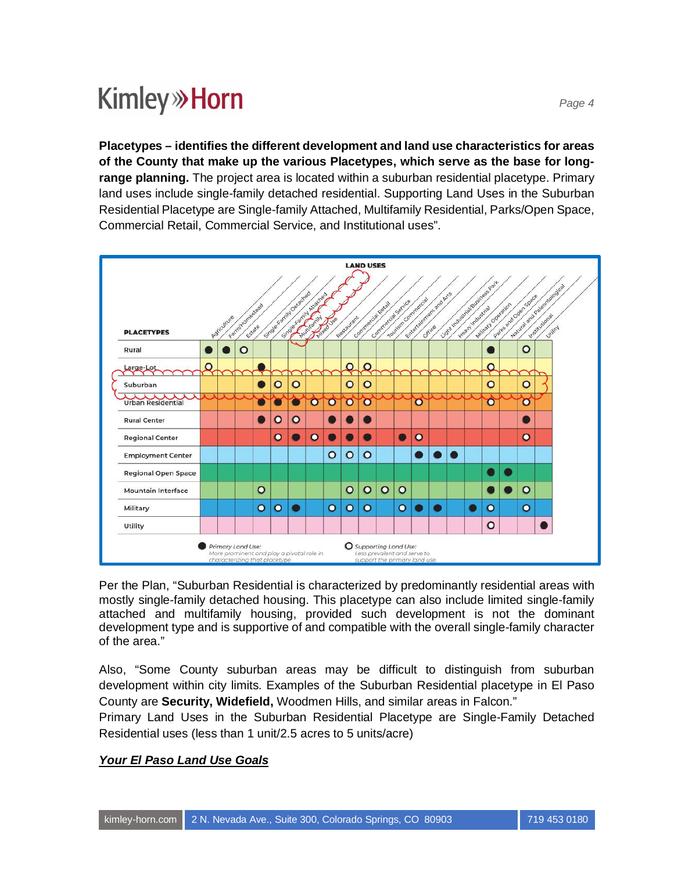**Placetypes – identifies the different development and land use characteristics for areas of the County that make up the various Placetypes, which serve as the base for longrange planning.** The project area is located within a suburban residential placetype. Primary land uses include single-family detached residential. Supporting Land Uses in the Suburban Residential Placetype are Single-family Attached, Multifamily Residential, Parks/Open Space, Commercial Retail, Commercial Service, and Institutional uses".



Per the Plan, "Suburban Residential is characterized by predominantly residential areas with mostly single-family detached housing. This placetype can also include limited single-family attached and multifamily housing, provided such development is not the dominant development type and is supportive of and compatible with the overall single-family character of the area."

Also, "Some County suburban areas may be difficult to distinguish from suburban development within city limits. Examples of the Suburban Residential placetype in El Paso County are **Security, Widefield,** Woodmen Hills, and similar areas in Falcon."

Primary Land Uses in the Suburban Residential Placetype are Single-Family Detached Residential uses (less than 1 unit/2.5 acres to 5 units/acre)

#### *Your El Paso Land Use Goals*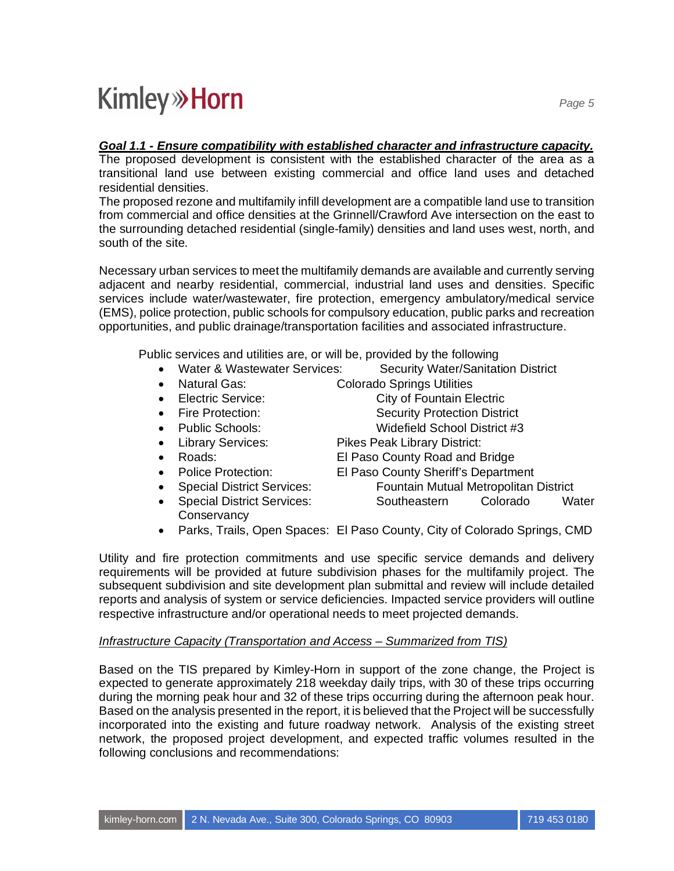#### *Goal 1.1 - Ensure compatibility with established character and infrastructure capacity.*

The proposed development is consistent with the established character of the area as a transitional land use between existing commercial and office land uses and detached residential densities.

The proposed rezone and multifamily infill development are a compatible land use to transition from commercial and office densities at the Grinnell/Crawford Ave intersection on the east to the surrounding detached residential (single-family) densities and land uses west, north, and south of the site.

Necessary urban services to meet the multifamily demands are available and currently serving adjacent and nearby residential, commercial, industrial land uses and densities. Specific services include water/wastewater, fire protection, emergency ambulatory/medical service (EMS), police protection, public schools for compulsory education, public parks and recreation opportunities, and public drainage/transportation facilities and associated infrastructure.

Public services and utilities are, or will be, provided by the following

- Water & Wastewater Services: Security Water/Sanitation District
- 
- 
- 
- 
- 
- 
- 
- 
- 
- · Natural Gas: Colorado Springs Utilities
- Electric Service: City of Fountain Electric
- Fire Protection: Security Protection District
	- Public Schools: Widefield School District #3
- Library Services: Pikes Peak Library District:
- · Roads: El Paso County Road and Bridge
- · Police Protection: El Paso County Sheriff's Department
	- · Special District Services: Fountain Mutual Metropolitan District Special District Services: Southeastern Colorado Water
	- **Conservancy**
- · Parks, Trails, Open Spaces: El Paso County, City of Colorado Springs, CMD

Utility and fire protection commitments and use specific service demands and delivery requirements will be provided at future subdivision phases for the multifamily project. The subsequent subdivision and site development plan submittal and review will include detailed reports and analysis of system or service deficiencies. Impacted service providers will outline respective infrastructure and/or operational needs to meet projected demands.

#### *Infrastructure Capacity (Transportation and Access – Summarized from TIS)*

Based on the TIS prepared by Kimley-Horn in support of the zone change, the Project is expected to generate approximately 218 weekday daily trips, with 30 of these trips occurring during the morning peak hour and 32 of these trips occurring during the afternoon peak hour. Based on the analysis presented in the report, it is believed that the Project will be successfully incorporated into the existing and future roadway network. Analysis of the existing street network, the proposed project development, and expected traffic volumes resulted in the following conclusions and recommendations: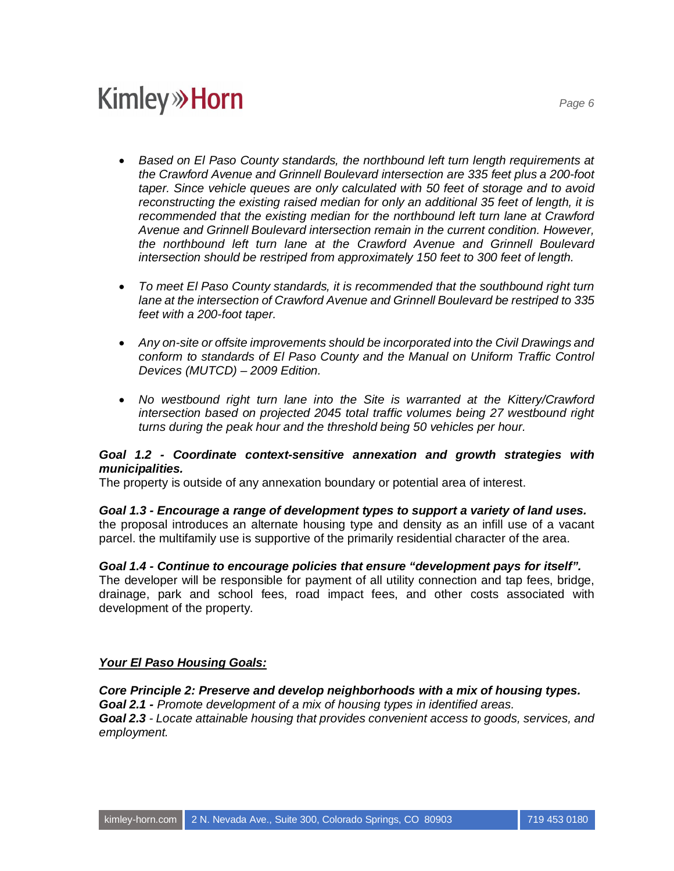- · *Based on El Paso County standards, the northbound left turn length requirements at the Crawford Avenue and Grinnell Boulevard intersection are 335 feet plus a 200-foot taper. Since vehicle queues are only calculated with 50 feet of storage and to avoid reconstructing the existing raised median for only an additional 35 feet of length, it is recommended that the existing median for the northbound left turn lane at Crawford Avenue and Grinnell Boulevard intersection remain in the current condition. However, the northbound left turn lane at the Crawford Avenue and Grinnell Boulevard intersection should be restriped from approximately 150 feet to 300 feet of length.*
- · *To meet El Paso County standards, it is recommended that the southbound right turn lane at the intersection of Crawford Avenue and Grinnell Boulevard be restriped to 335 feet with a 200-foot taper.*
- · *Any on-site or offsite improvements should be incorporated into the Civil Drawings and conform to standards of El Paso County and the Manual on Uniform Traffic Control Devices (MUTCD) – 2009 Edition.*
- · *No westbound right turn lane into the Site is warranted at the Kittery/Crawford intersection based on projected 2045 total traffic volumes being 27 westbound right turns during the peak hour and the threshold being 50 vehicles per hour.*

#### *Goal 1.2 - Coordinate context-sensitive annexation and growth strategies with municipalities.*

The property is outside of any annexation boundary or potential area of interest.

#### *Goal 1.3 - Encourage a range of development types to support a variety of land uses.*

the proposal introduces an alternate housing type and density as an infill use of a vacant parcel. the multifamily use is supportive of the primarily residential character of the area.

#### *Goal 1.4 - Continue to encourage policies that ensure "development pays for itself".*

The developer will be responsible for payment of all utility connection and tap fees, bridge, drainage, park and school fees, road impact fees, and other costs associated with development of the property.

#### *Your El Paso Housing Goals:*

*Core Principle 2: Preserve and develop neighborhoods with a mix of housing types. Goal 2.1 - Promote development of a mix of housing types in identified areas. Goal 2.3 - Locate attainable housing that provides convenient access to goods, services, and employment.*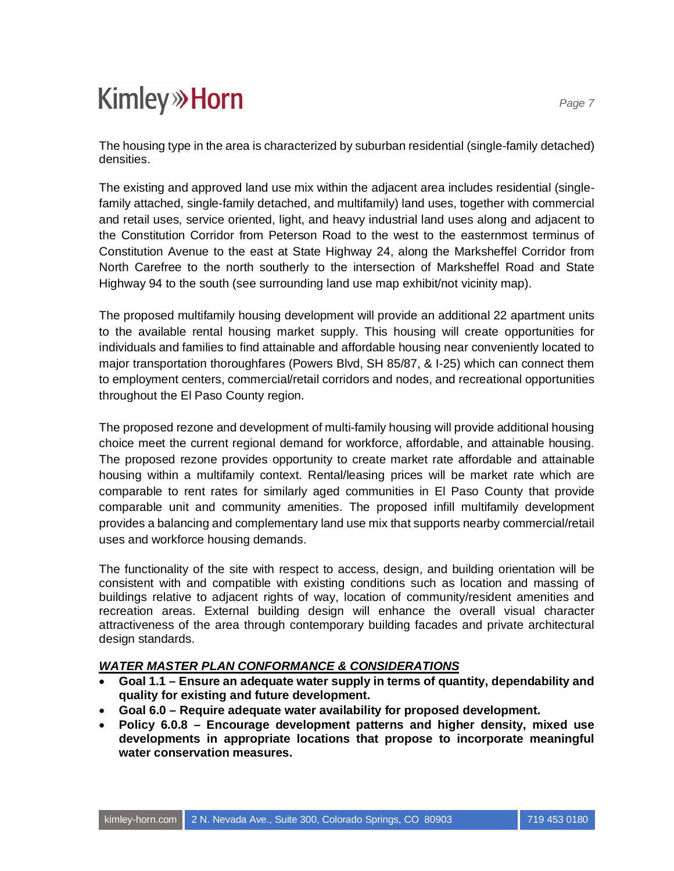The housing type in the area is characterized by suburban residential (single-family detached) densities.

The existing and approved land use mix within the adjacent area includes residential (singlefamily attached, single-family detached, and multifamily) land uses, together with commercial and retail uses, service oriented, light, and heavy industrial land uses along and adjacent to the Constitution Corridor from Peterson Road to the west to the easternmost terminus of Constitution Avenue to the east at State Highway 24, along the Marksheffel Corridor from North Carefree to the north southerly to the intersection of Marksheffel Road and State Highway 94 to the south (see surrounding land use map exhibit/not vicinity map).

The proposed multifamily housing development will provide an additional 22 apartment units to the available rental housing market supply. This housing will create opportunities for individuals and families to find attainable and affordable housing near conveniently located to major transportation thoroughfares (Powers Blvd, SH 85/87, & I-25) which can connect them to employment centers, commercial/retail corridors and nodes, and recreational opportunities throughout the El Paso County region.

The proposed rezone and development of multi-family housing will provide additional housing choice meet the current regional demand for workforce, affordable, and attainable housing. The proposed rezone provides opportunity to create market rate affordable and attainable housing within a multifamily context. Rental/leasing prices will be market rate which are comparable to rent rates for similarly aged communities in El Paso County that provide comparable unit and community amenities. The proposed infill multifamily development provides a balancing and complementary land use mix that supports nearby commercial/retail uses and workforce housing demands.

The functionality of the site with respect to access, design, and building orientation will be consistent with and compatible with existing conditions such as location and massing of buildings relative to adjacent rights of way, location of community/resident amenities and recreation areas. External building design will enhance the overall visual character attractiveness of the area through contemporary building facades and private architectural design standards.

#### *WATER MASTER PLAN CONFORMANCE & CONSIDERATIONS*

- · **Goal 1.1 Ensure an adequate water supply in terms of quantity, dependability and quality for existing and future development.**
- · **Goal 6.0 Require adequate water availability for proposed development.**
- · **Policy 6.0.8 Encourage development patterns and higher density, mixed use developments in appropriate locations that propose to incorporate meaningful water conservation measures.**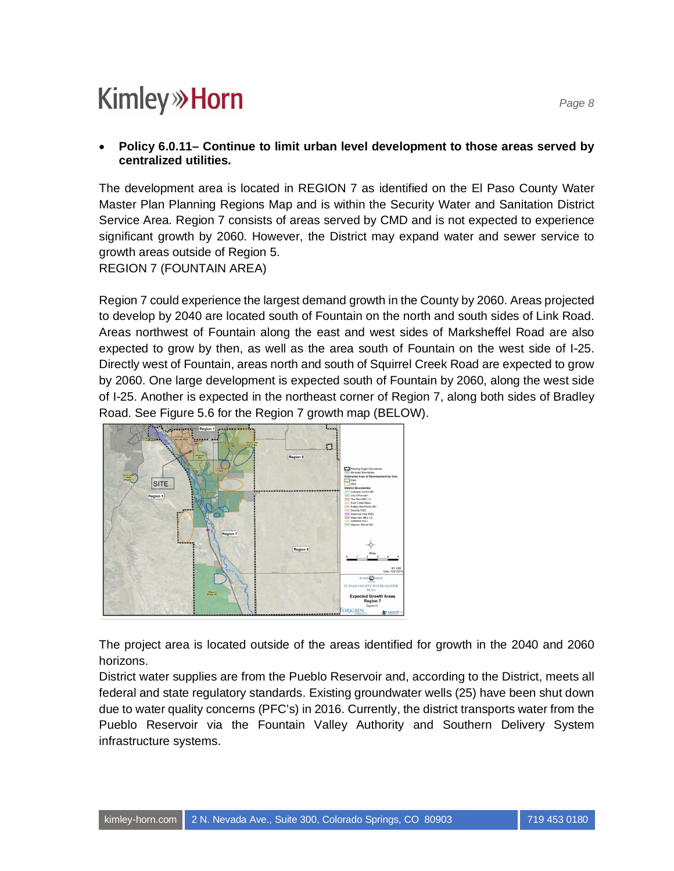#### · **Policy 6.0.11– Continue to limit urban level development to those areas served by centralized utilities.**

The development area is located in REGION 7 as identified on the El Paso County Water Master Plan Planning Regions Map and is within the Security Water and Sanitation District Service Area. Region 7 consists of areas served by CMD and is not expected to experience significant growth by 2060. However, the District may expand water and sewer service to growth areas outside of Region 5.

REGION 7 (FOUNTAIN AREA)

Region 7 could experience the largest demand growth in the County by 2060. Areas projected to develop by 2040 are located south of Fountain on the north and south sides of Link Road. Areas northwest of Fountain along the east and west sides of Marksheffel Road are also expected to grow by then, as well as the area south of Fountain on the west side of I-25. Directly west of Fountain, areas north and south of Squirrel Creek Road are expected to grow by 2060. One large development is expected south of Fountain by 2060, along the west side of I-25. Another is expected in the northeast corner of Region 7, along both sides of Bradley Road. See Figure 5.6 for the Region 7 growth map (BELOW).



The project area is located outside of the areas identified for growth in the 2040 and 2060 horizons.

District water supplies are from the Pueblo Reservoir and, according to the District, meets all federal and state regulatory standards. Existing groundwater wells (25) have been shut down due to water quality concerns (PFC's) in 2016. Currently, the district transports water from the Pueblo Reservoir via the Fountain Valley Authority and Southern Delivery System infrastructure systems.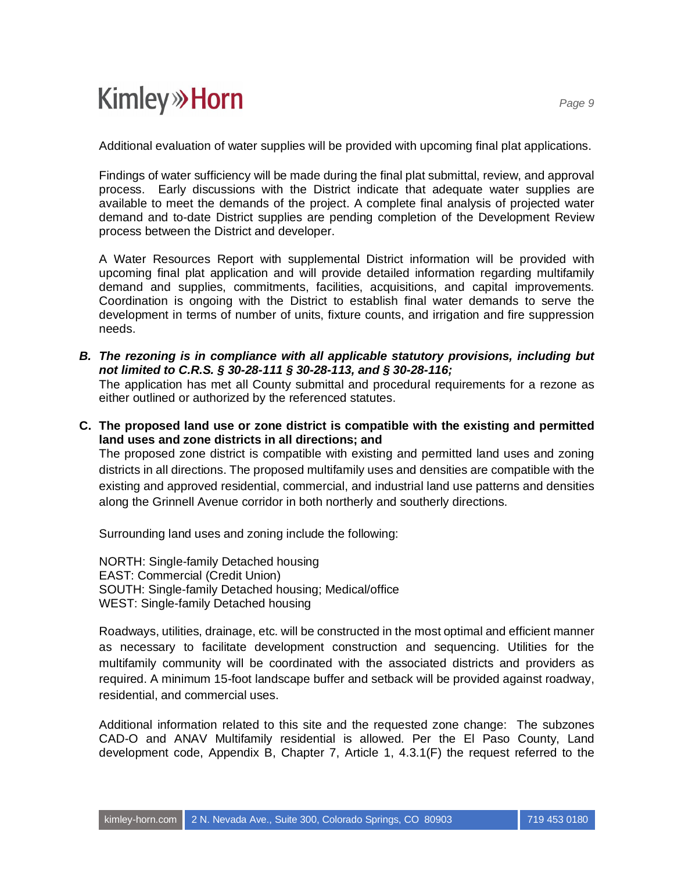Additional evaluation of water supplies will be provided with upcoming final plat applications.

Findings of water sufficiency will be made during the final plat submittal, review, and approval process. Early discussions with the District indicate that adequate water supplies are available to meet the demands of the project. A complete final analysis of projected water demand and to-date District supplies are pending completion of the Development Review process between the District and developer.

A Water Resources Report with supplemental District information will be provided with upcoming final plat application and will provide detailed information regarding multifamily demand and supplies, commitments, facilities, acquisitions, and capital improvements. Coordination is ongoing with the District to establish final water demands to serve the development in terms of number of units, fixture counts, and irrigation and fire suppression needs.

*B. The rezoning is in compliance with all applicable statutory provisions, including but not limited to C.R.S. § 30-28-111 § 30-28-113, and § 30-28-116;*

The application has met all County submittal and procedural requirements for a rezone as either outlined or authorized by the referenced statutes.

**C. The proposed land use or zone district is compatible with the existing and permitted land uses and zone districts in all directions; and**

The proposed zone district is compatible with existing and permitted land uses and zoning districts in all directions. The proposed multifamily uses and densities are compatible with the existing and approved residential, commercial, and industrial land use patterns and densities along the Grinnell Avenue corridor in both northerly and southerly directions.

Surrounding land uses and zoning include the following:

NORTH: Single-family Detached housing EAST: Commercial (Credit Union) SOUTH: Single-family Detached housing; Medical/office WEST: Single-family Detached housing

Roadways, utilities, drainage, etc. will be constructed in the most optimal and efficient manner as necessary to facilitate development construction and sequencing. Utilities for the multifamily community will be coordinated with the associated districts and providers as required. A minimum 15-foot landscape buffer and setback will be provided against roadway, residential, and commercial uses.

Additional information related to this site and the requested zone change: The subzones CAD-O and ANAV Multifamily residential is allowed. Per the El Paso County, Land development code, Appendix B, Chapter 7, Article 1, 4.3.1(F) the request referred to the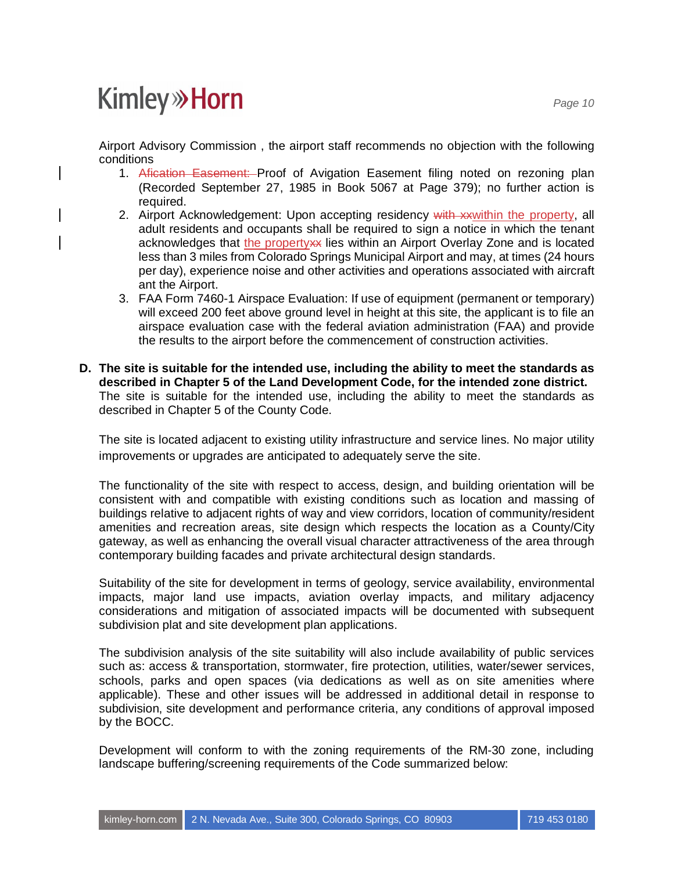Airport Advisory Commission , the airport staff recommends no objection with the following conditions

- 1. Afication Easement: Proof of Avigation Easement filing noted on rezoning plan (Recorded September 27, 1985 in Book 5067 at Page 379); no further action is required.
- 2. Airport Acknowledgement: Upon accepting residency with xxwithin the property, all adult residents and occupants shall be required to sign a notice in which the tenant acknowledges that the property ies within an Airport Overlay Zone and is located less than 3 miles from Colorado Springs Municipal Airport and may, at times (24 hours per day), experience noise and other activities and operations associated with aircraft ant the Airport.
- 3. FAA Form 7460-1 Airspace Evaluation: If use of equipment (permanent or temporary) will exceed 200 feet above ground level in height at this site, the applicant is to file an airspace evaluation case with the federal aviation administration (FAA) and provide the results to the airport before the commencement of construction activities.
- **D. The site is suitable for the intended use, including the ability to meet the standards as described in Chapter 5 of the Land Development Code, for the intended zone district.** The site is suitable for the intended use, including the ability to meet the standards as described in Chapter 5 of the County Code.

The site is located adjacent to existing utility infrastructure and service lines. No major utility improvements or upgrades are anticipated to adequately serve the site.

The functionality of the site with respect to access, design, and building orientation will be consistent with and compatible with existing conditions such as location and massing of buildings relative to adjacent rights of way and view corridors, location of community/resident amenities and recreation areas, site design which respects the location as a County/City gateway, as well as enhancing the overall visual character attractiveness of the area through contemporary building facades and private architectural design standards.

Suitability of the site for development in terms of geology, service availability, environmental impacts, major land use impacts, aviation overlay impacts, and military adjacency considerations and mitigation of associated impacts will be documented with subsequent subdivision plat and site development plan applications.

The subdivision analysis of the site suitability will also include availability of public services such as: access & transportation, stormwater, fire protection, utilities, water/sewer services, schools, parks and open spaces (via dedications as well as on site amenities where applicable). These and other issues will be addressed in additional detail in response to subdivision, site development and performance criteria, any conditions of approval imposed by the BOCC.

Development will conform to with the zoning requirements of the RM-30 zone, including landscape buffering/screening requirements of the Code summarized below: